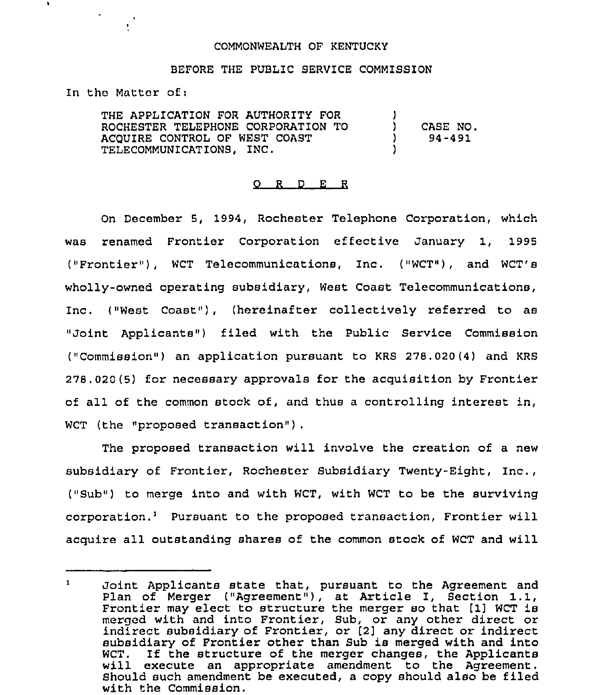## COMMONWEALTH OF KENTUCKY

## BEFORE THE PUBLIC SERVICE COMMISSION

In the Matter of:

 $\bullet$ 

THE APPLICATION FOR AUTHORITY FOR ROCHESTER TELEPHONE CORPORATION TO ACQUIRE CONTROL OF WEST COAST TELECOMMUNICATIONS, INC. ) ) CASE NO. ) 94-491 )

## 0 <sup>R</sup> <sup>D</sup> E <sup>R</sup>

On December 5, 1994, Rochester Telephone Corporation, which was renamed Frontier Corporation effective January 1, 1995 ("Frontier"), WCT Telecommunications, Inc. ("WCT"), and WCT's wholly-owned operating subsidiary, West Coast Telecommunications, Inc. ("West Coast"), (hereinafter collectively referred to as "Joint Applicants") filed with the Public Service Commission ("Commission") an application pursuant to KRS 278.020(4) and KRS 278.020(5) for necessary approvals for the acquisition by Frontier of all of the common stock of, and thus a controlling interest in, WCT (the "proposed transaction") .

The proposed transaction will involve the creation of a new subsidiary of Frontier, Rochester Subsidiary Twenty-Eight, Inc., ("Sub") to merge into and with WCT, with WCT to be the surviving corporation.<sup>1</sup> Pursuant to the proposed transaction, Frontier will acquire all outstanding shares of the common stock of WCT and will

Joint Applicants state that, pursuant to the Agreement and  $\mathbf{1}$ doint Applicants state that, pursuant to the Agreement and<br>Plan of Merger ("Agreement"), at Article I, Section 1.1,<br>Examples may also the chunchung the company of the Cliffords Frontier may elect to structure the merger so that [1] WCT is merged with and into Frontier, Sub, or any other direct or indirect subsidiary of Frontier, or [2] any direct or indirect subsidiary of Frontier other than Sub is merged with and into WCT. If the structure of the merger changes, the Applicants will execute an appropriate amendment to the Agreement. Should such amendment be executed, a copy should also be filed with the Commission.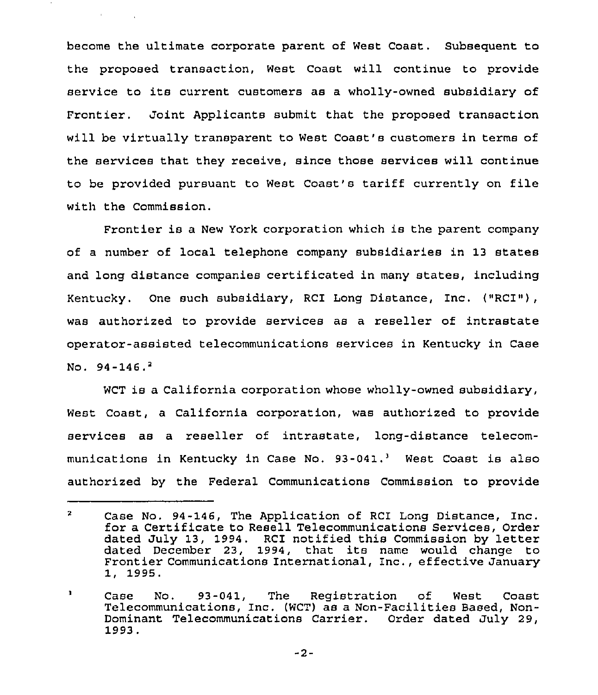become the ultimate corporate parent of West Coast. Subsequent to the proposed transaction, West Coast will continue to provide service to its current customers as <sup>a</sup> wholly-owned subsidiary of Frontier. Joint Applicants submit that the proposed transaction will be virtually transparent to West Coast's customers in terms of the services that they receive, since those services will continue to be provided pursuant to West Coast's tariff currently on file with the Commission.

**Common Street** 

Frontier is a New York corporation which is the parent company of a number of local telephone company subsidiaries in 13 states and long distance companies certificated in many states, including Kentucky. One such subsidiary, RCI Long Distance, Inc. ("RCI»), was authorized to provide services as a reseller of intrastate operator-assisted telecommunications services in Kentucky in Case No.  $94-146.$ <sup>2</sup>

WCT is a California corporation whose wholly-owned subsidiary, West Coast, a California corporation, was authorized to provide services as a reseller of intrastate, long-distance telecommunications in Kentucky in Case No.  $93-041.^3$  West Coast is also authorized by the Federal Communications Commission to provide

-2-

 $\mathbf{2}$ Case No. 94-146, The Application of RCI Long Distance, Inc. for a Certificate to Resell Telecommunications Services, Order dated July 13, 1994. RCI notified this Commission by letter dated December 23, 1994, that its name would change to Frontier Communications International, Inc., effective January 1, 1995.

Case No. 93-041, The Registration of West Coast 3 Telecommunications, Inc. (WCT) as a Non-Facilities Based, Non-Dominant Telecommunications Carrier. Order dated July 29, 1993.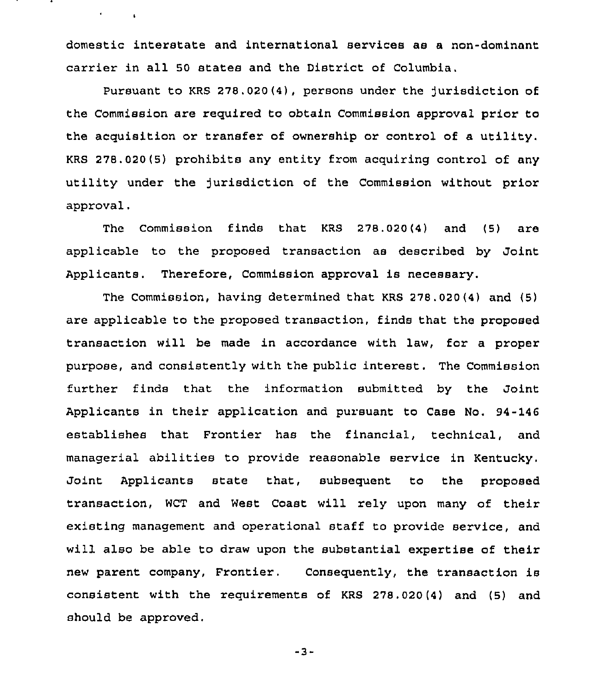domestic interstate and international services as a non-dominant carrier in all 50 states and the District of Columbia.

 $\epsilon$  , and  $\epsilon$ 

Pursuant to KRS 278.020(4), persons under the jurisdiction of the Commission are required to obtain Commission approval prior to the acquisition or transfer of ownership or control of a utility. KRS 278.020(5) prohibits any entity from acquiring control of any utility under the Jurisdiction of the Commission without prior approval,

The Commission finds that KRS 278.020(4) and (5) are applicable to the proposed transaction as described by Joint Applicants. Therefore, Commission approval is necessary.

The Commission, having determined that KRS 278.020(4) and (5) are applicable to the proposed transaction, finds that the proposed transaction will be made in accordance with law, for a proper purpose, and consistently with the public interest. The Commission further finds that the information submitted by the Joint Applicants in their application and pursuant to Case No. 94-146 establishes that Frontier has the financial, technical, and managerial abilities to provide reasonable service in Kentucky. Joint Applicants state that, subsequent to the proposed transaction, WCT and West Coast will rely upon many of their existing management and operational staff to provide service, and will also be able to draw upon the substantial expertise of their new parent company, Frontier. Consequently, the transaction is consistent with the requirements of KRS 278.020(4) and (5) and should be approved.

 $-3-$